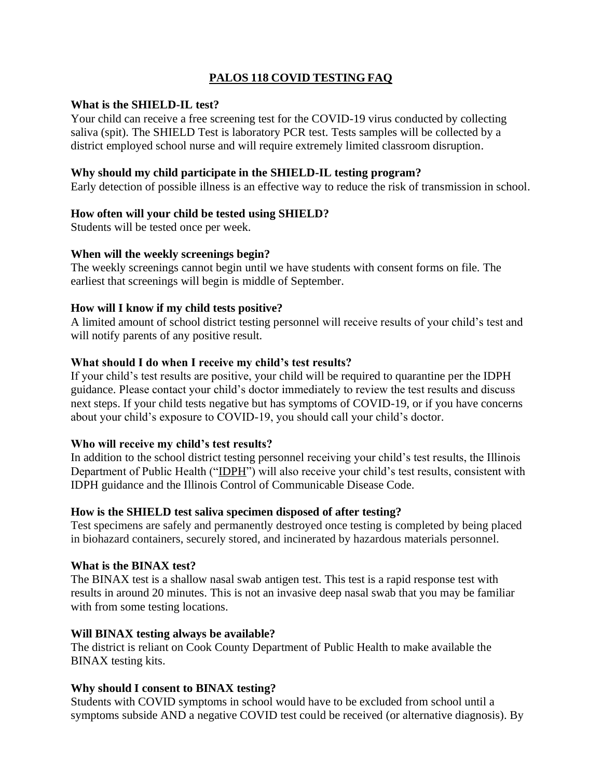# **PALOS 118 COVID TESTING FAQ**

#### **What is the SHIELD-IL test?**

Your child can receive a free screening test for the COVID-19 virus conducted by collecting saliva (spit). The SHIELD Test is laboratory PCR test. Tests samples will be collected by a district employed school nurse and will require extremely limited classroom disruption.

#### **Why should my child participate in the SHIELD-IL testing program?**

Early detection of possible illness is an effective way to reduce the risk of transmission in school.

## **How often will your child be tested using SHIELD?**

Students will be tested once per week.

#### **When will the weekly screenings begin?**

The weekly screenings cannot begin until we have students with consent forms on file. The earliest that screenings will begin is middle of September.

## **How will I know if my child tests positive?**

A limited amount of school district testing personnel will receive results of your child's test and will notify parents of any positive result.

## **What should I do when I receive my child's test results?**

If your child's test results are positive, your child will be required to quarantine per the IDPH guidance. Please contact your child's doctor immediately to review the test results and discuss next steps. If your child tests negative but has symptoms of COVID-19, or if you have concerns about your child's exposure to COVID-19, you should call your child's doctor.

#### **Who will receive my child's test results?**

In addition to the school district testing personnel receiving your child's test results, the Illinois Department of Public Health ("IDPH") will also receive your child's test results, consistent with IDPH guidance and the Illinois Control of Communicable Disease Code.

#### **How is the SHIELD test saliva specimen disposed of after testing?**

Test specimens are safely and permanently destroyed once testing is completed by being placed in biohazard containers, securely stored, and incinerated by hazardous materials personnel.

#### **What is the BINAX test?**

The BINAX test is a shallow nasal swab antigen test. This test is a rapid response test with results in around 20 minutes. This is not an invasive deep nasal swab that you may be familiar with from some testing locations.

#### **Will BINAX testing always be available?**

The district is reliant on Cook County Department of Public Health to make available the BINAX testing kits.

## **Why should I consent to BINAX testing?**

Students with COVID symptoms in school would have to be excluded from school until a symptoms subside AND a negative COVID test could be received (or alternative diagnosis). By